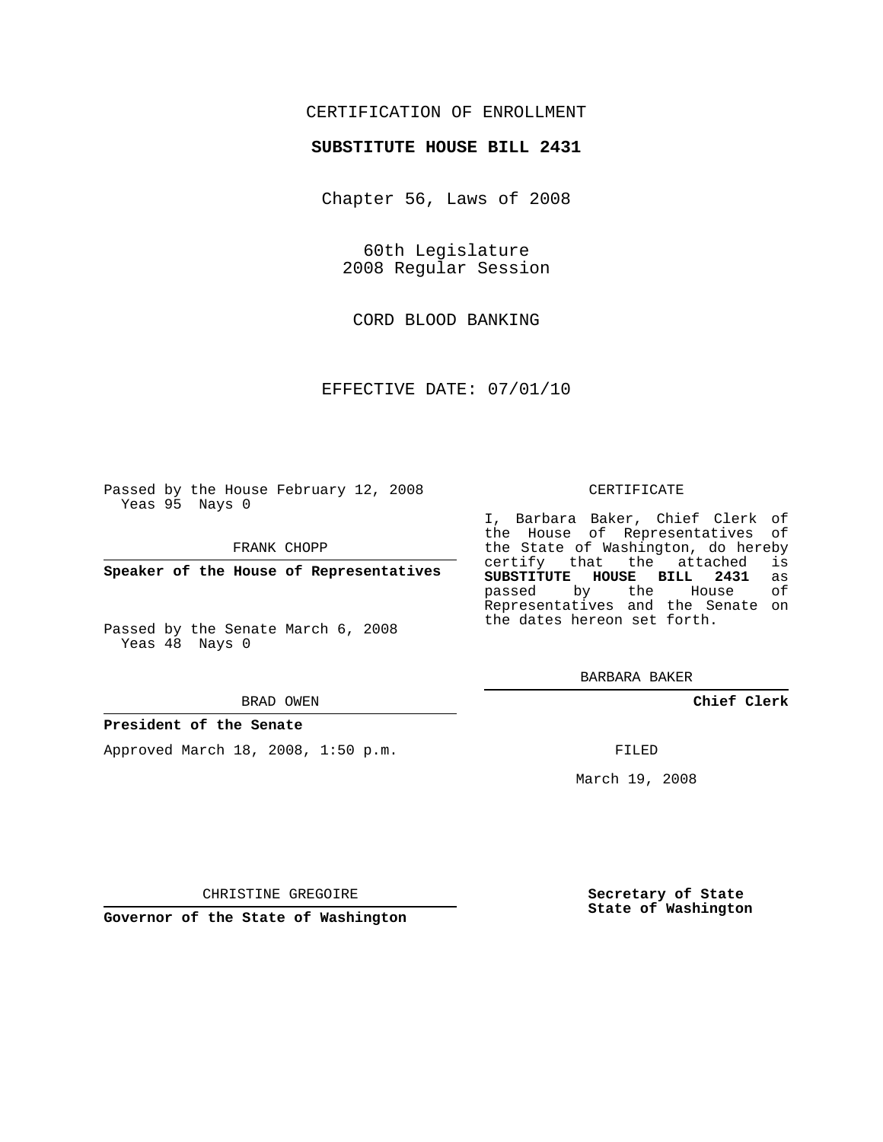## CERTIFICATION OF ENROLLMENT

### **SUBSTITUTE HOUSE BILL 2431**

Chapter 56, Laws of 2008

60th Legislature 2008 Regular Session

CORD BLOOD BANKING

EFFECTIVE DATE: 07/01/10

Passed by the House February 12, 2008 Yeas 95 Nays 0

FRANK CHOPP

**Speaker of the House of Representatives**

Passed by the Senate March 6, 2008 Yeas 48 Nays 0

#### BRAD OWEN

#### **President of the Senate**

Approved March 18, 2008, 1:50 p.m.

#### CERTIFICATE

I, Barbara Baker, Chief Clerk of the House of Representatives of the State of Washington, do hereby<br>certify that the attached is certify that the attached is<br>SUBSTITUTE HOUSE BILL 2431 as **SUBSTITUTE HOUSE BILL 2431** as passed by the House Representatives and the Senate on the dates hereon set forth.

BARBARA BAKER

**Chief Clerk**

FILED

March 19, 2008

CHRISTINE GREGOIRE

**Governor of the State of Washington**

**Secretary of State State of Washington**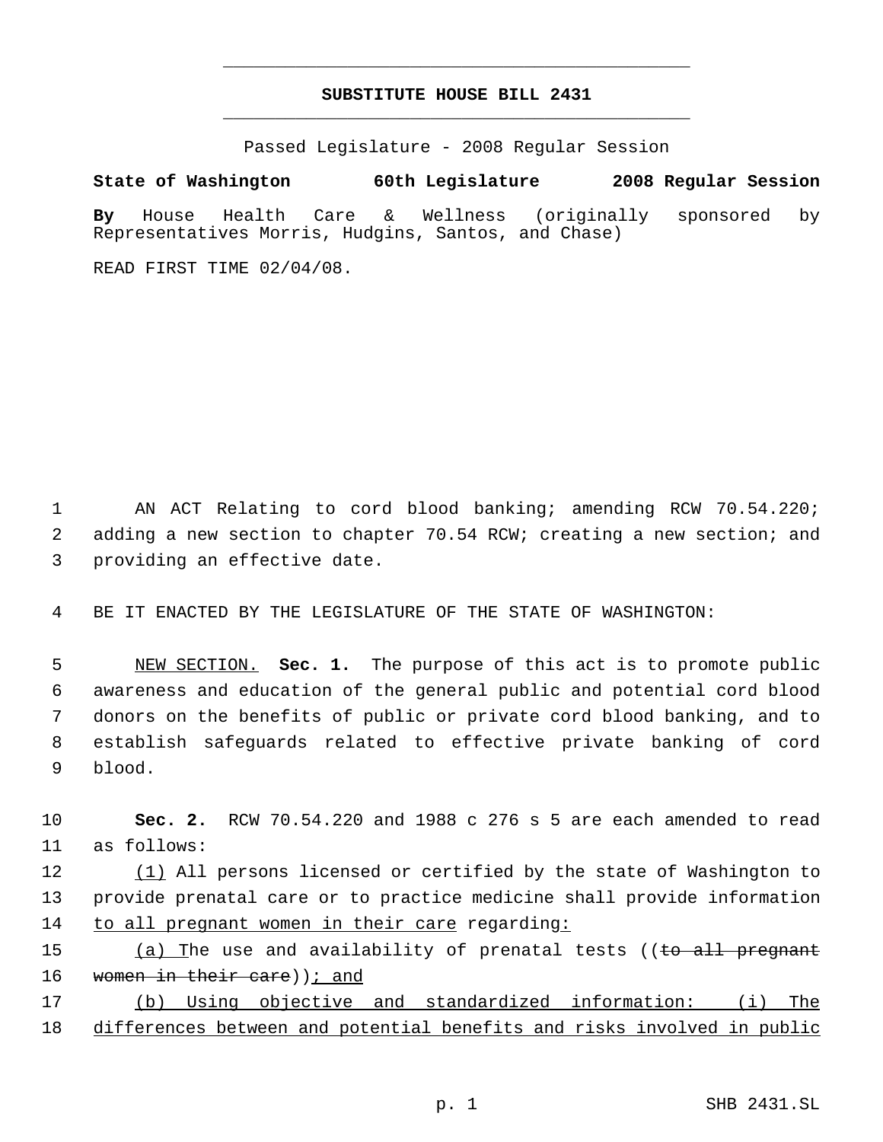# **SUBSTITUTE HOUSE BILL 2431** \_\_\_\_\_\_\_\_\_\_\_\_\_\_\_\_\_\_\_\_\_\_\_\_\_\_\_\_\_\_\_\_\_\_\_\_\_\_\_\_\_\_\_\_\_

\_\_\_\_\_\_\_\_\_\_\_\_\_\_\_\_\_\_\_\_\_\_\_\_\_\_\_\_\_\_\_\_\_\_\_\_\_\_\_\_\_\_\_\_\_

Passed Legislature - 2008 Regular Session

**State of Washington 60th Legislature 2008 Regular Session**

**By** House Health Care & Wellness (originally sponsored by Representatives Morris, Hudgins, Santos, and Chase)

READ FIRST TIME 02/04/08.

 1 AN ACT Relating to cord blood banking; amending RCW 70.54.220; 2 adding a new section to chapter 70.54 RCW; creating a new section; and 3 providing an effective date.

4 BE IT ENACTED BY THE LEGISLATURE OF THE STATE OF WASHINGTON:

 NEW SECTION. **Sec. 1.** The purpose of this act is to promote public awareness and education of the general public and potential cord blood donors on the benefits of public or private cord blood banking, and to establish safeguards related to effective private banking of cord 9 blood.

10 **Sec. 2.** RCW 70.54.220 and 1988 c 276 s 5 are each amended to read 11 as follows:

12 (1) All persons licensed or certified by the state of Washington to 13 provide prenatal care or to practice medicine shall provide information 14 to all pregnant women in their care regarding:

15 (a) The use and availability of prenatal tests ((to all pregnant 16 women in their care) ; and

17 (b) Using objective and standardized information: (i) The 18 differences between and potential benefits and risks involved in public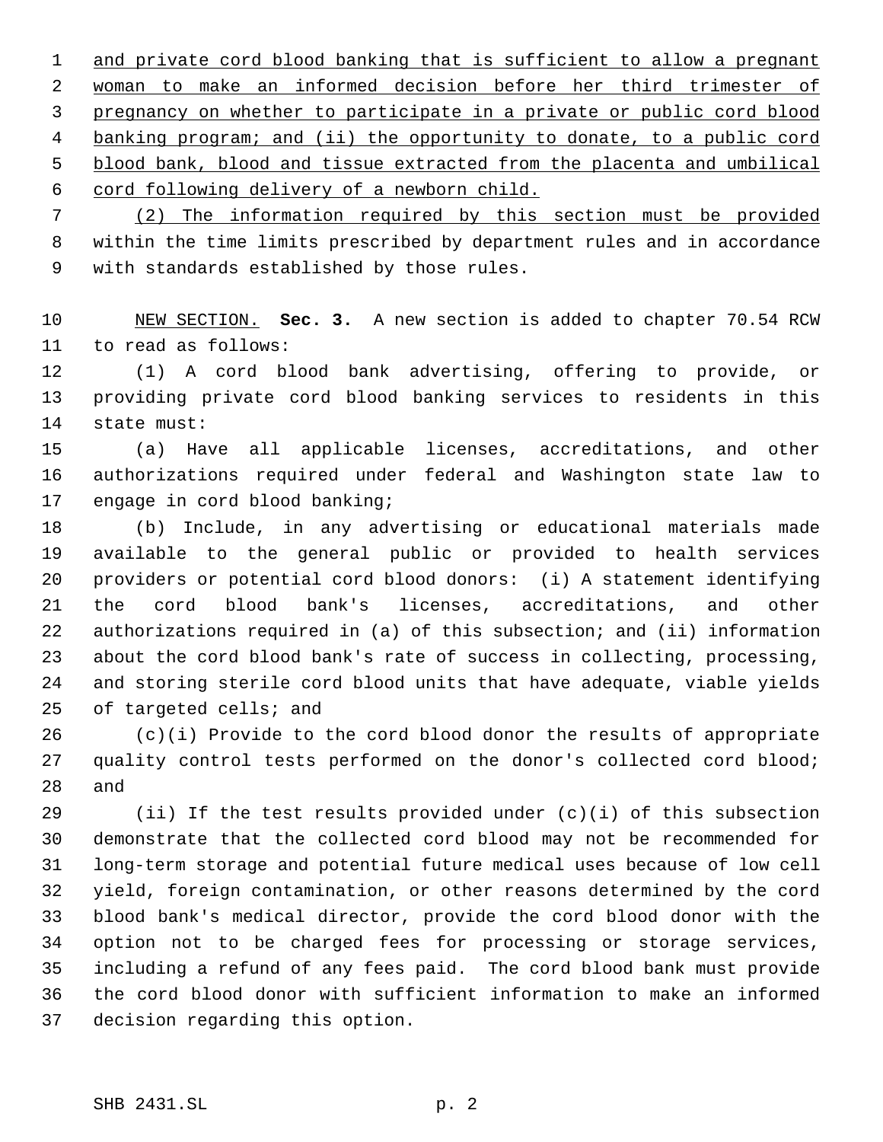1 and private cord blood banking that is sufficient to allow a pregnant woman to make an informed decision before her third trimester of pregnancy on whether to participate in a private or public cord blood banking program; and (ii) the opportunity to donate, to a public cord blood bank, blood and tissue extracted from the placenta and umbilical cord following delivery of a newborn child.

 (2) The information required by this section must be provided within the time limits prescribed by department rules and in accordance with standards established by those rules.

 NEW SECTION. **Sec. 3.** A new section is added to chapter 70.54 RCW to read as follows:

 (1) A cord blood bank advertising, offering to provide, or providing private cord blood banking services to residents in this state must:

 (a) Have all applicable licenses, accreditations, and other authorizations required under federal and Washington state law to engage in cord blood banking;

 (b) Include, in any advertising or educational materials made available to the general public or provided to health services providers or potential cord blood donors: (i) A statement identifying the cord blood bank's licenses, accreditations, and other authorizations required in (a) of this subsection; and (ii) information about the cord blood bank's rate of success in collecting, processing, and storing sterile cord blood units that have adequate, viable yields of targeted cells; and

 (c)(i) Provide to the cord blood donor the results of appropriate quality control tests performed on the donor's collected cord blood; and

 (ii) If the test results provided under (c)(i) of this subsection demonstrate that the collected cord blood may not be recommended for long-term storage and potential future medical uses because of low cell yield, foreign contamination, or other reasons determined by the cord blood bank's medical director, provide the cord blood donor with the option not to be charged fees for processing or storage services, including a refund of any fees paid. The cord blood bank must provide the cord blood donor with sufficient information to make an informed decision regarding this option.